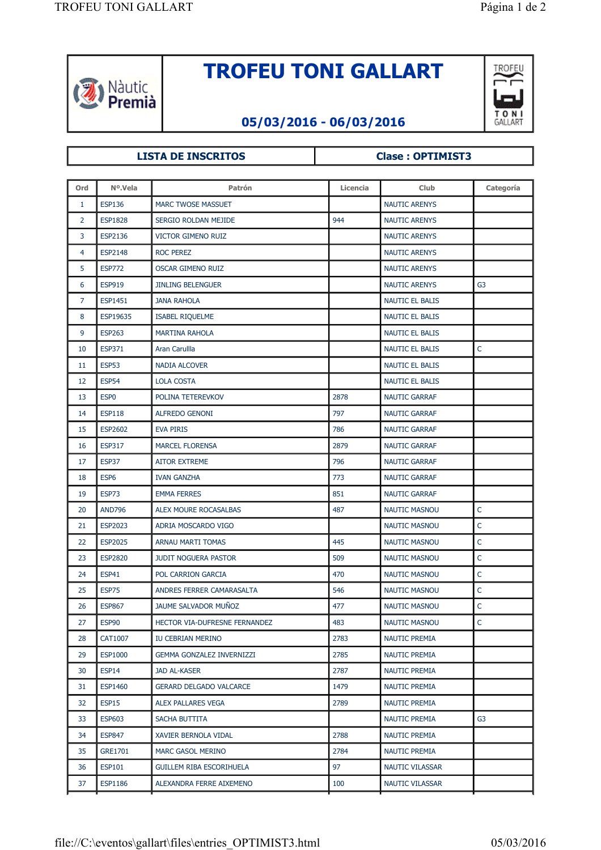

## **TROFEU TONI GALLART**



## **05/03/2016 - 06/03/2016**

## LISTA DE INSCRITOS **Clase : OPTIMIST3**

| <b>ESP136</b><br><b>NAUTIC ARENYS</b><br>1<br><b>MARC TWOSE MASSUET</b><br>$\overline{2}$<br>944<br><b>ESP1828</b><br>SERGIO ROLDAN MEJIDE<br><b>NAUTIC ARENYS</b><br>3<br>ESP2136<br><b>VICTOR GIMENO RUIZ</b><br><b>NAUTIC ARENYS</b><br>4<br><b>ESP2148</b><br><b>ROC PEREZ</b><br><b>NAUTIC ARENYS</b><br>5<br><b>ESP772</b><br><b>OSCAR GIMENO RUIZ</b><br><b>NAUTIC ARENYS</b><br>6<br><b>ESP919</b><br><b>JINLING BELENGUER</b><br><b>NAUTIC ARENYS</b><br>G <sub>3</sub><br>7<br><b>ESP1451</b><br><b>JANA RAHOLA</b><br><b>NAUTIC EL BALIS</b><br>8<br>ESP19635<br><b>ISABEL RIQUELME</b><br>NAUTIC EL BALIS<br>9<br><b>ESP263</b><br><b>MARTINA RAHOLA</b><br><b>NAUTIC EL BALIS</b><br>$\mathsf C$<br><b>ESP371</b><br>Aran Carullla<br><b>NAUTIC EL BALIS</b><br>10<br><b>ESP53</b><br>NAUTIC EL BALIS<br>11<br>NADIA ALCOVER<br><b>ESP54</b><br>12<br><b>LOLA COSTA</b><br><b>NAUTIC EL BALIS</b><br>ESP <sub>0</sub><br>POLINA TETEREVKOV<br>2878<br><b>NAUTIC GARRAF</b><br>13<br><b>ESP118</b><br><b>ALFREDO GENONI</b><br>797<br>14<br><b>NAUTIC GARRAF</b><br><b>ESP2602</b><br>786<br>15<br><b>EVA PIRIS</b><br><b>NAUTIC GARRAF</b><br><b>ESP317</b><br><b>MARCEL FLORENSA</b><br>2879<br><b>NAUTIC GARRAF</b><br>16<br>ESP37<br>796<br>17<br><b>AITOR EXTREME</b><br><b>NAUTIC GARRAF</b><br>773<br>18<br>ESP <sub>6</sub><br><b>IVAN GANZHA</b><br><b>NAUTIC GARRAF</b><br>ESP73<br><b>EMMA FERRES</b><br>851<br><b>NAUTIC GARRAF</b><br>19<br>C<br>20<br><b>AND796</b><br>ALEX MOURE ROCASALBAS<br>487<br><b>NAUTIC MASNOU</b><br>$\mathsf C$<br>21<br>ESP2023<br>ADRIA MOSCARDO VIGO<br><b>NAUTIC MASNOU</b><br>$\mathsf{C}$<br><b>ESP2025</b><br>ARNAU MARTI TOMAS<br>445<br><b>NAUTIC MASNOU</b><br>22<br>$\mathsf{C}$<br><b>ESP2820</b><br>509<br>23<br><b>JUDIT NOGUERA PASTOR</b><br><b>NAUTIC MASNOU</b><br>$\mathsf C$<br>24<br><b>ESP41</b><br>POL CARRION GARCIA<br>470<br><b>NAUTIC MASNOU</b><br>$\mathsf{C}$<br><b>ESP75</b><br>ANDRES FERRER CAMARASALTA<br>546<br>25<br><b>NAUTIC MASNOU</b><br>$\mathsf{C}$<br><b>ESP867</b><br>JAUME SALVADOR MUÑOZ<br>477<br>26<br><b>NAUTIC MASNOU</b><br>C<br>27<br>ESP90<br>483<br><b>NAUTIC MASNOU</b><br>HECTOR VIA-DUFRESNE FERNANDEZ<br>CAT1007<br>28<br>IU CEBRIAN MERINO<br>2783<br><b>NAUTIC PREMIA</b><br>29<br><b>ESP1000</b><br><b>GEMMA GONZALEZ INVERNIZZI</b><br>2785<br><b>NAUTIC PREMIA</b><br>ESP14<br><b>JAD AL-KASER</b><br>2787<br><b>NAUTIC PREMIA</b><br>30<br><b>ESP1460</b><br><b>GERARD DELGADO VALCARCE</b><br>1479<br><b>NAUTIC PREMIA</b><br>31<br>ESP15<br>ALEX PALLARES VEGA<br>2789<br><b>NAUTIC PREMIA</b><br>32<br><b>ESP603</b><br>SACHA BUTTITA<br><b>NAUTIC PREMIA</b><br>G3<br>33<br>34<br><b>ESP847</b><br>XAVIER BERNOLA VIDAL<br>2788<br><b>NAUTIC PREMIA</b><br>MARC GASOL MERINO<br>2784<br><b>NAUTIC PREMIA</b><br>35<br>GRE1701<br><b>ESP101</b><br><b>GUILLEM RIBA ESCORIHUELA</b><br>97<br>NAUTIC VILASSAR<br>36<br>37<br><b>ESP1186</b><br>100<br>NAUTIC VILASSAR<br>ALEXANDRA FERRE AIXEMENO | Ord | Nº.Vela | Patrón | Licencia | Club | Categoría |
|-------------------------------------------------------------------------------------------------------------------------------------------------------------------------------------------------------------------------------------------------------------------------------------------------------------------------------------------------------------------------------------------------------------------------------------------------------------------------------------------------------------------------------------------------------------------------------------------------------------------------------------------------------------------------------------------------------------------------------------------------------------------------------------------------------------------------------------------------------------------------------------------------------------------------------------------------------------------------------------------------------------------------------------------------------------------------------------------------------------------------------------------------------------------------------------------------------------------------------------------------------------------------------------------------------------------------------------------------------------------------------------------------------------------------------------------------------------------------------------------------------------------------------------------------------------------------------------------------------------------------------------------------------------------------------------------------------------------------------------------------------------------------------------------------------------------------------------------------------------------------------------------------------------------------------------------------------------------------------------------------------------------------------------------------------------------------------------------------------------------------------------------------------------------------------------------------------------------------------------------------------------------------------------------------------------------------------------------------------------------------------------------------------------------------------------------------------------------------------------------------------------------------------------------------------------------------------------------------------------------------------------------------------------------------------------------------------------------------------------------------------------------------------------------------------------------------------------------------------------------------------------------------------------------------------------------------------------------------------------------------------------------------|-----|---------|--------|----------|------|-----------|
|                                                                                                                                                                                                                                                                                                                                                                                                                                                                                                                                                                                                                                                                                                                                                                                                                                                                                                                                                                                                                                                                                                                                                                                                                                                                                                                                                                                                                                                                                                                                                                                                                                                                                                                                                                                                                                                                                                                                                                                                                                                                                                                                                                                                                                                                                                                                                                                                                                                                                                                                                                                                                                                                                                                                                                                                                                                                                                                                                                                                                         |     |         |        |          |      |           |
|                                                                                                                                                                                                                                                                                                                                                                                                                                                                                                                                                                                                                                                                                                                                                                                                                                                                                                                                                                                                                                                                                                                                                                                                                                                                                                                                                                                                                                                                                                                                                                                                                                                                                                                                                                                                                                                                                                                                                                                                                                                                                                                                                                                                                                                                                                                                                                                                                                                                                                                                                                                                                                                                                                                                                                                                                                                                                                                                                                                                                         |     |         |        |          |      |           |
|                                                                                                                                                                                                                                                                                                                                                                                                                                                                                                                                                                                                                                                                                                                                                                                                                                                                                                                                                                                                                                                                                                                                                                                                                                                                                                                                                                                                                                                                                                                                                                                                                                                                                                                                                                                                                                                                                                                                                                                                                                                                                                                                                                                                                                                                                                                                                                                                                                                                                                                                                                                                                                                                                                                                                                                                                                                                                                                                                                                                                         |     |         |        |          |      |           |
|                                                                                                                                                                                                                                                                                                                                                                                                                                                                                                                                                                                                                                                                                                                                                                                                                                                                                                                                                                                                                                                                                                                                                                                                                                                                                                                                                                                                                                                                                                                                                                                                                                                                                                                                                                                                                                                                                                                                                                                                                                                                                                                                                                                                                                                                                                                                                                                                                                                                                                                                                                                                                                                                                                                                                                                                                                                                                                                                                                                                                         |     |         |        |          |      |           |
|                                                                                                                                                                                                                                                                                                                                                                                                                                                                                                                                                                                                                                                                                                                                                                                                                                                                                                                                                                                                                                                                                                                                                                                                                                                                                                                                                                                                                                                                                                                                                                                                                                                                                                                                                                                                                                                                                                                                                                                                                                                                                                                                                                                                                                                                                                                                                                                                                                                                                                                                                                                                                                                                                                                                                                                                                                                                                                                                                                                                                         |     |         |        |          |      |           |
|                                                                                                                                                                                                                                                                                                                                                                                                                                                                                                                                                                                                                                                                                                                                                                                                                                                                                                                                                                                                                                                                                                                                                                                                                                                                                                                                                                                                                                                                                                                                                                                                                                                                                                                                                                                                                                                                                                                                                                                                                                                                                                                                                                                                                                                                                                                                                                                                                                                                                                                                                                                                                                                                                                                                                                                                                                                                                                                                                                                                                         |     |         |        |          |      |           |
|                                                                                                                                                                                                                                                                                                                                                                                                                                                                                                                                                                                                                                                                                                                                                                                                                                                                                                                                                                                                                                                                                                                                                                                                                                                                                                                                                                                                                                                                                                                                                                                                                                                                                                                                                                                                                                                                                                                                                                                                                                                                                                                                                                                                                                                                                                                                                                                                                                                                                                                                                                                                                                                                                                                                                                                                                                                                                                                                                                                                                         |     |         |        |          |      |           |
|                                                                                                                                                                                                                                                                                                                                                                                                                                                                                                                                                                                                                                                                                                                                                                                                                                                                                                                                                                                                                                                                                                                                                                                                                                                                                                                                                                                                                                                                                                                                                                                                                                                                                                                                                                                                                                                                                                                                                                                                                                                                                                                                                                                                                                                                                                                                                                                                                                                                                                                                                                                                                                                                                                                                                                                                                                                                                                                                                                                                                         |     |         |        |          |      |           |
|                                                                                                                                                                                                                                                                                                                                                                                                                                                                                                                                                                                                                                                                                                                                                                                                                                                                                                                                                                                                                                                                                                                                                                                                                                                                                                                                                                                                                                                                                                                                                                                                                                                                                                                                                                                                                                                                                                                                                                                                                                                                                                                                                                                                                                                                                                                                                                                                                                                                                                                                                                                                                                                                                                                                                                                                                                                                                                                                                                                                                         |     |         |        |          |      |           |
|                                                                                                                                                                                                                                                                                                                                                                                                                                                                                                                                                                                                                                                                                                                                                                                                                                                                                                                                                                                                                                                                                                                                                                                                                                                                                                                                                                                                                                                                                                                                                                                                                                                                                                                                                                                                                                                                                                                                                                                                                                                                                                                                                                                                                                                                                                                                                                                                                                                                                                                                                                                                                                                                                                                                                                                                                                                                                                                                                                                                                         |     |         |        |          |      |           |
|                                                                                                                                                                                                                                                                                                                                                                                                                                                                                                                                                                                                                                                                                                                                                                                                                                                                                                                                                                                                                                                                                                                                                                                                                                                                                                                                                                                                                                                                                                                                                                                                                                                                                                                                                                                                                                                                                                                                                                                                                                                                                                                                                                                                                                                                                                                                                                                                                                                                                                                                                                                                                                                                                                                                                                                                                                                                                                                                                                                                                         |     |         |        |          |      |           |
|                                                                                                                                                                                                                                                                                                                                                                                                                                                                                                                                                                                                                                                                                                                                                                                                                                                                                                                                                                                                                                                                                                                                                                                                                                                                                                                                                                                                                                                                                                                                                                                                                                                                                                                                                                                                                                                                                                                                                                                                                                                                                                                                                                                                                                                                                                                                                                                                                                                                                                                                                                                                                                                                                                                                                                                                                                                                                                                                                                                                                         |     |         |        |          |      |           |
|                                                                                                                                                                                                                                                                                                                                                                                                                                                                                                                                                                                                                                                                                                                                                                                                                                                                                                                                                                                                                                                                                                                                                                                                                                                                                                                                                                                                                                                                                                                                                                                                                                                                                                                                                                                                                                                                                                                                                                                                                                                                                                                                                                                                                                                                                                                                                                                                                                                                                                                                                                                                                                                                                                                                                                                                                                                                                                                                                                                                                         |     |         |        |          |      |           |
|                                                                                                                                                                                                                                                                                                                                                                                                                                                                                                                                                                                                                                                                                                                                                                                                                                                                                                                                                                                                                                                                                                                                                                                                                                                                                                                                                                                                                                                                                                                                                                                                                                                                                                                                                                                                                                                                                                                                                                                                                                                                                                                                                                                                                                                                                                                                                                                                                                                                                                                                                                                                                                                                                                                                                                                                                                                                                                                                                                                                                         |     |         |        |          |      |           |
|                                                                                                                                                                                                                                                                                                                                                                                                                                                                                                                                                                                                                                                                                                                                                                                                                                                                                                                                                                                                                                                                                                                                                                                                                                                                                                                                                                                                                                                                                                                                                                                                                                                                                                                                                                                                                                                                                                                                                                                                                                                                                                                                                                                                                                                                                                                                                                                                                                                                                                                                                                                                                                                                                                                                                                                                                                                                                                                                                                                                                         |     |         |        |          |      |           |
|                                                                                                                                                                                                                                                                                                                                                                                                                                                                                                                                                                                                                                                                                                                                                                                                                                                                                                                                                                                                                                                                                                                                                                                                                                                                                                                                                                                                                                                                                                                                                                                                                                                                                                                                                                                                                                                                                                                                                                                                                                                                                                                                                                                                                                                                                                                                                                                                                                                                                                                                                                                                                                                                                                                                                                                                                                                                                                                                                                                                                         |     |         |        |          |      |           |
|                                                                                                                                                                                                                                                                                                                                                                                                                                                                                                                                                                                                                                                                                                                                                                                                                                                                                                                                                                                                                                                                                                                                                                                                                                                                                                                                                                                                                                                                                                                                                                                                                                                                                                                                                                                                                                                                                                                                                                                                                                                                                                                                                                                                                                                                                                                                                                                                                                                                                                                                                                                                                                                                                                                                                                                                                                                                                                                                                                                                                         |     |         |        |          |      |           |
|                                                                                                                                                                                                                                                                                                                                                                                                                                                                                                                                                                                                                                                                                                                                                                                                                                                                                                                                                                                                                                                                                                                                                                                                                                                                                                                                                                                                                                                                                                                                                                                                                                                                                                                                                                                                                                                                                                                                                                                                                                                                                                                                                                                                                                                                                                                                                                                                                                                                                                                                                                                                                                                                                                                                                                                                                                                                                                                                                                                                                         |     |         |        |          |      |           |
|                                                                                                                                                                                                                                                                                                                                                                                                                                                                                                                                                                                                                                                                                                                                                                                                                                                                                                                                                                                                                                                                                                                                                                                                                                                                                                                                                                                                                                                                                                                                                                                                                                                                                                                                                                                                                                                                                                                                                                                                                                                                                                                                                                                                                                                                                                                                                                                                                                                                                                                                                                                                                                                                                                                                                                                                                                                                                                                                                                                                                         |     |         |        |          |      |           |
|                                                                                                                                                                                                                                                                                                                                                                                                                                                                                                                                                                                                                                                                                                                                                                                                                                                                                                                                                                                                                                                                                                                                                                                                                                                                                                                                                                                                                                                                                                                                                                                                                                                                                                                                                                                                                                                                                                                                                                                                                                                                                                                                                                                                                                                                                                                                                                                                                                                                                                                                                                                                                                                                                                                                                                                                                                                                                                                                                                                                                         |     |         |        |          |      |           |
|                                                                                                                                                                                                                                                                                                                                                                                                                                                                                                                                                                                                                                                                                                                                                                                                                                                                                                                                                                                                                                                                                                                                                                                                                                                                                                                                                                                                                                                                                                                                                                                                                                                                                                                                                                                                                                                                                                                                                                                                                                                                                                                                                                                                                                                                                                                                                                                                                                                                                                                                                                                                                                                                                                                                                                                                                                                                                                                                                                                                                         |     |         |        |          |      |           |
|                                                                                                                                                                                                                                                                                                                                                                                                                                                                                                                                                                                                                                                                                                                                                                                                                                                                                                                                                                                                                                                                                                                                                                                                                                                                                                                                                                                                                                                                                                                                                                                                                                                                                                                                                                                                                                                                                                                                                                                                                                                                                                                                                                                                                                                                                                                                                                                                                                                                                                                                                                                                                                                                                                                                                                                                                                                                                                                                                                                                                         |     |         |        |          |      |           |
|                                                                                                                                                                                                                                                                                                                                                                                                                                                                                                                                                                                                                                                                                                                                                                                                                                                                                                                                                                                                                                                                                                                                                                                                                                                                                                                                                                                                                                                                                                                                                                                                                                                                                                                                                                                                                                                                                                                                                                                                                                                                                                                                                                                                                                                                                                                                                                                                                                                                                                                                                                                                                                                                                                                                                                                                                                                                                                                                                                                                                         |     |         |        |          |      |           |
|                                                                                                                                                                                                                                                                                                                                                                                                                                                                                                                                                                                                                                                                                                                                                                                                                                                                                                                                                                                                                                                                                                                                                                                                                                                                                                                                                                                                                                                                                                                                                                                                                                                                                                                                                                                                                                                                                                                                                                                                                                                                                                                                                                                                                                                                                                                                                                                                                                                                                                                                                                                                                                                                                                                                                                                                                                                                                                                                                                                                                         |     |         |        |          |      |           |
|                                                                                                                                                                                                                                                                                                                                                                                                                                                                                                                                                                                                                                                                                                                                                                                                                                                                                                                                                                                                                                                                                                                                                                                                                                                                                                                                                                                                                                                                                                                                                                                                                                                                                                                                                                                                                                                                                                                                                                                                                                                                                                                                                                                                                                                                                                                                                                                                                                                                                                                                                                                                                                                                                                                                                                                                                                                                                                                                                                                                                         |     |         |        |          |      |           |
|                                                                                                                                                                                                                                                                                                                                                                                                                                                                                                                                                                                                                                                                                                                                                                                                                                                                                                                                                                                                                                                                                                                                                                                                                                                                                                                                                                                                                                                                                                                                                                                                                                                                                                                                                                                                                                                                                                                                                                                                                                                                                                                                                                                                                                                                                                                                                                                                                                                                                                                                                                                                                                                                                                                                                                                                                                                                                                                                                                                                                         |     |         |        |          |      |           |
|                                                                                                                                                                                                                                                                                                                                                                                                                                                                                                                                                                                                                                                                                                                                                                                                                                                                                                                                                                                                                                                                                                                                                                                                                                                                                                                                                                                                                                                                                                                                                                                                                                                                                                                                                                                                                                                                                                                                                                                                                                                                                                                                                                                                                                                                                                                                                                                                                                                                                                                                                                                                                                                                                                                                                                                                                                                                                                                                                                                                                         |     |         |        |          |      |           |
|                                                                                                                                                                                                                                                                                                                                                                                                                                                                                                                                                                                                                                                                                                                                                                                                                                                                                                                                                                                                                                                                                                                                                                                                                                                                                                                                                                                                                                                                                                                                                                                                                                                                                                                                                                                                                                                                                                                                                                                                                                                                                                                                                                                                                                                                                                                                                                                                                                                                                                                                                                                                                                                                                                                                                                                                                                                                                                                                                                                                                         |     |         |        |          |      |           |
|                                                                                                                                                                                                                                                                                                                                                                                                                                                                                                                                                                                                                                                                                                                                                                                                                                                                                                                                                                                                                                                                                                                                                                                                                                                                                                                                                                                                                                                                                                                                                                                                                                                                                                                                                                                                                                                                                                                                                                                                                                                                                                                                                                                                                                                                                                                                                                                                                                                                                                                                                                                                                                                                                                                                                                                                                                                                                                                                                                                                                         |     |         |        |          |      |           |
|                                                                                                                                                                                                                                                                                                                                                                                                                                                                                                                                                                                                                                                                                                                                                                                                                                                                                                                                                                                                                                                                                                                                                                                                                                                                                                                                                                                                                                                                                                                                                                                                                                                                                                                                                                                                                                                                                                                                                                                                                                                                                                                                                                                                                                                                                                                                                                                                                                                                                                                                                                                                                                                                                                                                                                                                                                                                                                                                                                                                                         |     |         |        |          |      |           |
|                                                                                                                                                                                                                                                                                                                                                                                                                                                                                                                                                                                                                                                                                                                                                                                                                                                                                                                                                                                                                                                                                                                                                                                                                                                                                                                                                                                                                                                                                                                                                                                                                                                                                                                                                                                                                                                                                                                                                                                                                                                                                                                                                                                                                                                                                                                                                                                                                                                                                                                                                                                                                                                                                                                                                                                                                                                                                                                                                                                                                         |     |         |        |          |      |           |
|                                                                                                                                                                                                                                                                                                                                                                                                                                                                                                                                                                                                                                                                                                                                                                                                                                                                                                                                                                                                                                                                                                                                                                                                                                                                                                                                                                                                                                                                                                                                                                                                                                                                                                                                                                                                                                                                                                                                                                                                                                                                                                                                                                                                                                                                                                                                                                                                                                                                                                                                                                                                                                                                                                                                                                                                                                                                                                                                                                                                                         |     |         |        |          |      |           |
|                                                                                                                                                                                                                                                                                                                                                                                                                                                                                                                                                                                                                                                                                                                                                                                                                                                                                                                                                                                                                                                                                                                                                                                                                                                                                                                                                                                                                                                                                                                                                                                                                                                                                                                                                                                                                                                                                                                                                                                                                                                                                                                                                                                                                                                                                                                                                                                                                                                                                                                                                                                                                                                                                                                                                                                                                                                                                                                                                                                                                         |     |         |        |          |      |           |
|                                                                                                                                                                                                                                                                                                                                                                                                                                                                                                                                                                                                                                                                                                                                                                                                                                                                                                                                                                                                                                                                                                                                                                                                                                                                                                                                                                                                                                                                                                                                                                                                                                                                                                                                                                                                                                                                                                                                                                                                                                                                                                                                                                                                                                                                                                                                                                                                                                                                                                                                                                                                                                                                                                                                                                                                                                                                                                                                                                                                                         |     |         |        |          |      |           |
|                                                                                                                                                                                                                                                                                                                                                                                                                                                                                                                                                                                                                                                                                                                                                                                                                                                                                                                                                                                                                                                                                                                                                                                                                                                                                                                                                                                                                                                                                                                                                                                                                                                                                                                                                                                                                                                                                                                                                                                                                                                                                                                                                                                                                                                                                                                                                                                                                                                                                                                                                                                                                                                                                                                                                                                                                                                                                                                                                                                                                         |     |         |        |          |      |           |
|                                                                                                                                                                                                                                                                                                                                                                                                                                                                                                                                                                                                                                                                                                                                                                                                                                                                                                                                                                                                                                                                                                                                                                                                                                                                                                                                                                                                                                                                                                                                                                                                                                                                                                                                                                                                                                                                                                                                                                                                                                                                                                                                                                                                                                                                                                                                                                                                                                                                                                                                                                                                                                                                                                                                                                                                                                                                                                                                                                                                                         |     |         |        |          |      |           |
|                                                                                                                                                                                                                                                                                                                                                                                                                                                                                                                                                                                                                                                                                                                                                                                                                                                                                                                                                                                                                                                                                                                                                                                                                                                                                                                                                                                                                                                                                                                                                                                                                                                                                                                                                                                                                                                                                                                                                                                                                                                                                                                                                                                                                                                                                                                                                                                                                                                                                                                                                                                                                                                                                                                                                                                                                                                                                                                                                                                                                         |     |         |        |          |      |           |